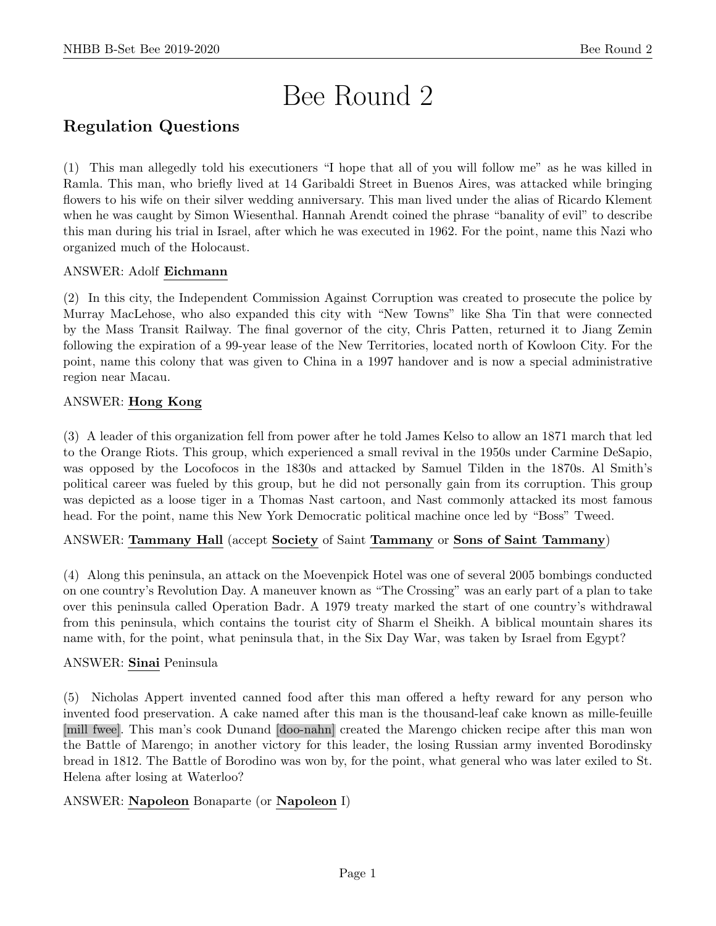# Bee Round 2

# Regulation Questions

(1) This man allegedly told his executioners "I hope that all of you will follow me" as he was killed in Ramla. This man, who briefly lived at 14 Garibaldi Street in Buenos Aires, was attacked while bringing flowers to his wife on their silver wedding anniversary. This man lived under the alias of Ricardo Klement when he was caught by Simon Wiesenthal. Hannah Arendt coined the phrase "banality of evil" to describe this man during his trial in Israel, after which he was executed in 1962. For the point, name this Nazi who organized much of the Holocaust.

# ANSWER: Adolf Eichmann

(2) In this city, the Independent Commission Against Corruption was created to prosecute the police by Murray MacLehose, who also expanded this city with "New Towns" like Sha Tin that were connected by the Mass Transit Railway. The final governor of the city, Chris Patten, returned it to Jiang Zemin following the expiration of a 99-year lease of the New Territories, located north of Kowloon City. For the point, name this colony that was given to China in a 1997 handover and is now a special administrative region near Macau.

# ANSWER: Hong Kong

(3) A leader of this organization fell from power after he told James Kelso to allow an 1871 march that led to the Orange Riots. This group, which experienced a small revival in the 1950s under Carmine DeSapio, was opposed by the Locofocos in the 1830s and attacked by Samuel Tilden in the 1870s. Al Smith's political career was fueled by this group, but he did not personally gain from its corruption. This group was depicted as a loose tiger in a Thomas Nast cartoon, and Nast commonly attacked its most famous head. For the point, name this New York Democratic political machine once led by "Boss" Tweed.

# ANSWER: Tammany Hall (accept Society of Saint Tammany or Sons of Saint Tammany)

(4) Along this peninsula, an attack on the Moevenpick Hotel was one of several 2005 bombings conducted on one country's Revolution Day. A maneuver known as "The Crossing" was an early part of a plan to take over this peninsula called Operation Badr. A 1979 treaty marked the start of one country's withdrawal from this peninsula, which contains the tourist city of Sharm el Sheikh. A biblical mountain shares its name with, for the point, what peninsula that, in the Six Day War, was taken by Israel from Egypt?

# ANSWER: Sinai Peninsula

(5) Nicholas Appert invented canned food after this man offered a hefty reward for any person who invented food preservation. A cake named after this man is the thousand-leaf cake known as mille-feuille [mill fwee]. This man's cook Dunand [doo-nahn] created the Marengo chicken recipe after this man won the Battle of Marengo; in another victory for this leader, the losing Russian army invented Borodinsky bread in 1812. The Battle of Borodino was won by, for the point, what general who was later exiled to St. Helena after losing at Waterloo?

# ANSWER: Napoleon Bonaparte (or Napoleon I)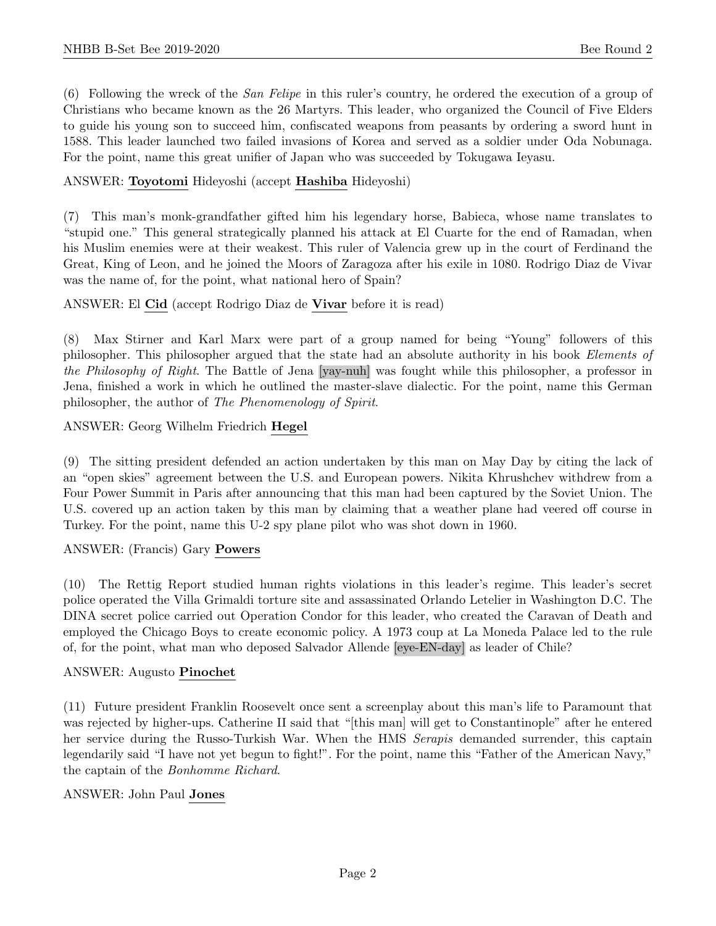(6) Following the wreck of the *San Felipe* in this ruler's country, he ordered the execution of a group of Christians who became known as the 26 Martyrs. This leader, who organized the Council of Five Elders to guide his young son to succeed him, confiscated weapons from peasants by ordering a sword hunt in 1588. This leader launched two failed invasions of Korea and served as a soldier under Oda Nobunaga. For the point, name this great unifier of Japan who was succeeded by Tokugawa Ieyasu.

# ANSWER: Toyotomi Hideyoshi (accept Hashiba Hideyoshi)

(7) This man's monk-grandfather gifted him his legendary horse, Babieca, whose name translates to "stupid one." This general strategically planned his attack at El Cuarte for the end of Ramadan, when his Muslim enemies were at their weakest. This ruler of Valencia grew up in the court of Ferdinand the Great, King of Leon, and he joined the Moors of Zaragoza after his exile in 1080. Rodrigo Diaz de Vivar was the name of, for the point, what national hero of Spain?

ANSWER: El Cid (accept Rodrigo Diaz de Vivar before it is read)

(8) Max Stirner and Karl Marx were part of a group named for being "Young" followers of this philosopher. This philosopher argued that the state had an absolute authority in his book Elements of the Philosophy of Right. The Battle of Jena [yay-nuh] was fought while this philosopher, a professor in Jena, finished a work in which he outlined the master-slave dialectic. For the point, name this German philosopher, the author of The Phenomenology of Spirit.

ANSWER: Georg Wilhelm Friedrich Hegel

(9) The sitting president defended an action undertaken by this man on May Day by citing the lack of an "open skies" agreement between the U.S. and European powers. Nikita Khrushchev withdrew from a Four Power Summit in Paris after announcing that this man had been captured by the Soviet Union. The U.S. covered up an action taken by this man by claiming that a weather plane had veered off course in Turkey. For the point, name this U-2 spy plane pilot who was shot down in 1960.

# ANSWER: (Francis) Gary Powers

(10) The Rettig Report studied human rights violations in this leader's regime. This leader's secret police operated the Villa Grimaldi torture site and assassinated Orlando Letelier in Washington D.C. The DINA secret police carried out Operation Condor for this leader, who created the Caravan of Death and employed the Chicago Boys to create economic policy. A 1973 coup at La Moneda Palace led to the rule of, for the point, what man who deposed Salvador Allende [eye-EN-day] as leader of Chile?

#### ANSWER: Augusto Pinochet

(11) Future president Franklin Roosevelt once sent a screenplay about this man's life to Paramount that was rejected by higher-ups. Catherine II said that "[this man] will get to Constantinople" after he entered her service during the Russo-Turkish War. When the HMS Serapis demanded surrender, this captain legendarily said "I have not yet begun to fight!". For the point, name this "Father of the American Navy," the captain of the Bonhomme Richard.

#### ANSWER: John Paul Jones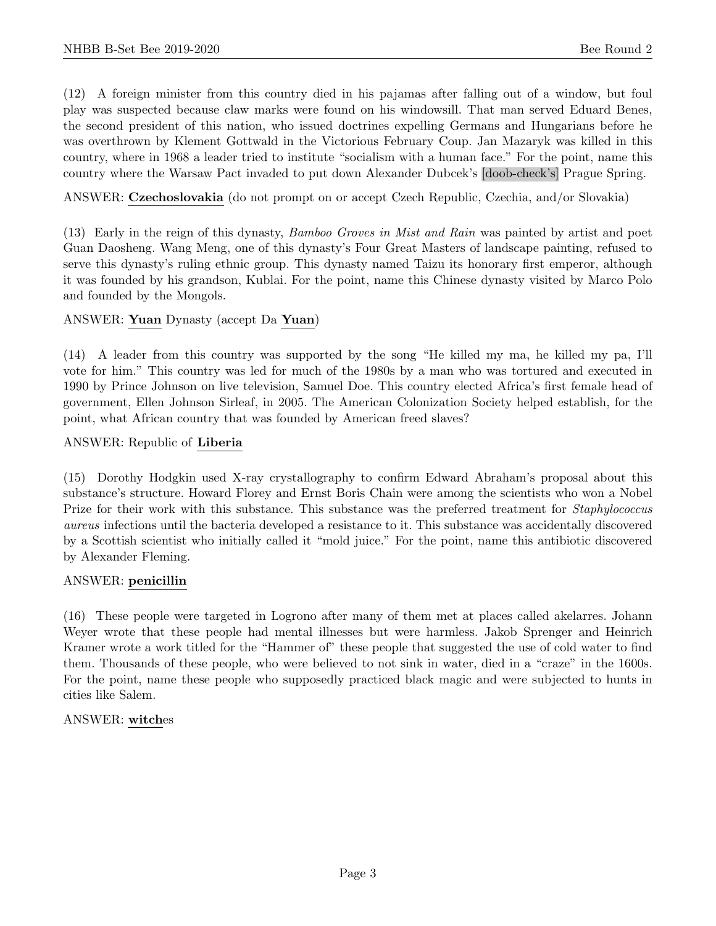(12) A foreign minister from this country died in his pajamas after falling out of a window, but foul play was suspected because claw marks were found on his windowsill. That man served Eduard Benes, the second president of this nation, who issued doctrines expelling Germans and Hungarians before he was overthrown by Klement Gottwald in the Victorious February Coup. Jan Mazaryk was killed in this country, where in 1968 a leader tried to institute "socialism with a human face." For the point, name this country where the Warsaw Pact invaded to put down Alexander Dubcek's [doob-check's] Prague Spring.

ANSWER: Czechoslovakia (do not prompt on or accept Czech Republic, Czechia, and/or Slovakia)

(13) Early in the reign of this dynasty, Bamboo Groves in Mist and Rain was painted by artist and poet Guan Daosheng. Wang Meng, one of this dynasty's Four Great Masters of landscape painting, refused to serve this dynasty's ruling ethnic group. This dynasty named Taizu its honorary first emperor, although it was founded by his grandson, Kublai. For the point, name this Chinese dynasty visited by Marco Polo and founded by the Mongols.

# ANSWER: Yuan Dynasty (accept Da Yuan)

(14) A leader from this country was supported by the song "He killed my ma, he killed my pa, I'll vote for him." This country was led for much of the 1980s by a man who was tortured and executed in 1990 by Prince Johnson on live television, Samuel Doe. This country elected Africa's first female head of government, Ellen Johnson Sirleaf, in 2005. The American Colonization Society helped establish, for the point, what African country that was founded by American freed slaves?

# ANSWER: Republic of Liberia

(15) Dorothy Hodgkin used X-ray crystallography to confirm Edward Abraham's proposal about this substance's structure. Howard Florey and Ernst Boris Chain were among the scientists who won a Nobel Prize for their work with this substance. This substance was the preferred treatment for *Staphylococcus* aureus infections until the bacteria developed a resistance to it. This substance was accidentally discovered by a Scottish scientist who initially called it "mold juice." For the point, name this antibiotic discovered by Alexander Fleming.

# ANSWER: penicillin

(16) These people were targeted in Logrono after many of them met at places called akelarres. Johann Weyer wrote that these people had mental illnesses but were harmless. Jakob Sprenger and Heinrich Kramer wrote a work titled for the "Hammer of" these people that suggested the use of cold water to find them. Thousands of these people, who were believed to not sink in water, died in a "craze" in the 1600s. For the point, name these people who supposedly practiced black magic and were subjected to hunts in cities like Salem.

# ANSWER: witches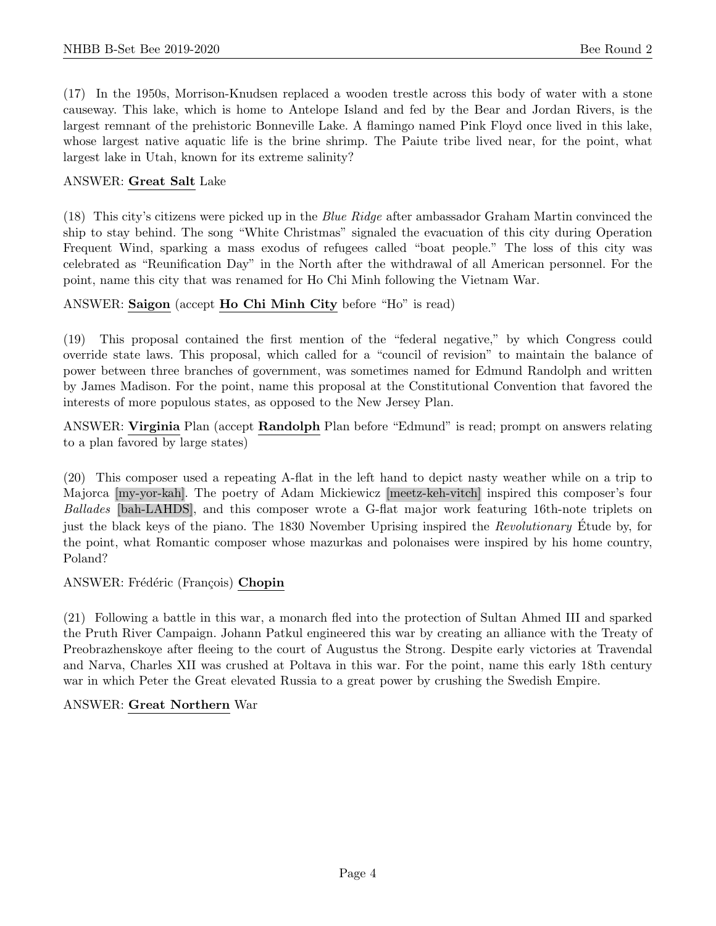(17) In the 1950s, Morrison-Knudsen replaced a wooden trestle across this body of water with a stone causeway. This lake, which is home to Antelope Island and fed by the Bear and Jordan Rivers, is the largest remnant of the prehistoric Bonneville Lake. A flamingo named Pink Floyd once lived in this lake, whose largest native aquatic life is the brine shrimp. The Paiute tribe lived near, for the point, what largest lake in Utah, known for its extreme salinity?

#### ANSWER: Great Salt Lake

(18) This city's citizens were picked up in the Blue Ridge after ambassador Graham Martin convinced the ship to stay behind. The song "White Christmas" signaled the evacuation of this city during Operation Frequent Wind, sparking a mass exodus of refugees called "boat people." The loss of this city was celebrated as "Reunification Day" in the North after the withdrawal of all American personnel. For the point, name this city that was renamed for Ho Chi Minh following the Vietnam War.

#### ANSWER: Saigon (accept Ho Chi Minh City before "Ho" is read)

(19) This proposal contained the first mention of the "federal negative," by which Congress could override state laws. This proposal, which called for a "council of revision" to maintain the balance of power between three branches of government, was sometimes named for Edmund Randolph and written by James Madison. For the point, name this proposal at the Constitutional Convention that favored the interests of more populous states, as opposed to the New Jersey Plan.

ANSWER: Virginia Plan (accept Randolph Plan before "Edmund" is read; prompt on answers relating to a plan favored by large states)

(20) This composer used a repeating A-flat in the left hand to depict nasty weather while on a trip to Majorca [my-yor-kah]. The poetry of Adam Mickiewicz [meetz-keh-vitch] inspired this composer's four Ballades [bah-LAHDS], and this composer wrote a G-flat major work featuring 16th-note triplets on just the black keys of the piano. The 1830 November Uprising inspired the *Revolutionary* Etude by, for the point, what Romantic composer whose mazurkas and polonaises were inspired by his home country, Poland?

#### ANSWER: Frédéric (François) Chopin

(21) Following a battle in this war, a monarch fled into the protection of Sultan Ahmed III and sparked the Pruth River Campaign. Johann Patkul engineered this war by creating an alliance with the Treaty of Preobrazhenskoye after fleeing to the court of Augustus the Strong. Despite early victories at Travendal and Narva, Charles XII was crushed at Poltava in this war. For the point, name this early 18th century war in which Peter the Great elevated Russia to a great power by crushing the Swedish Empire.

#### ANSWER: Great Northern War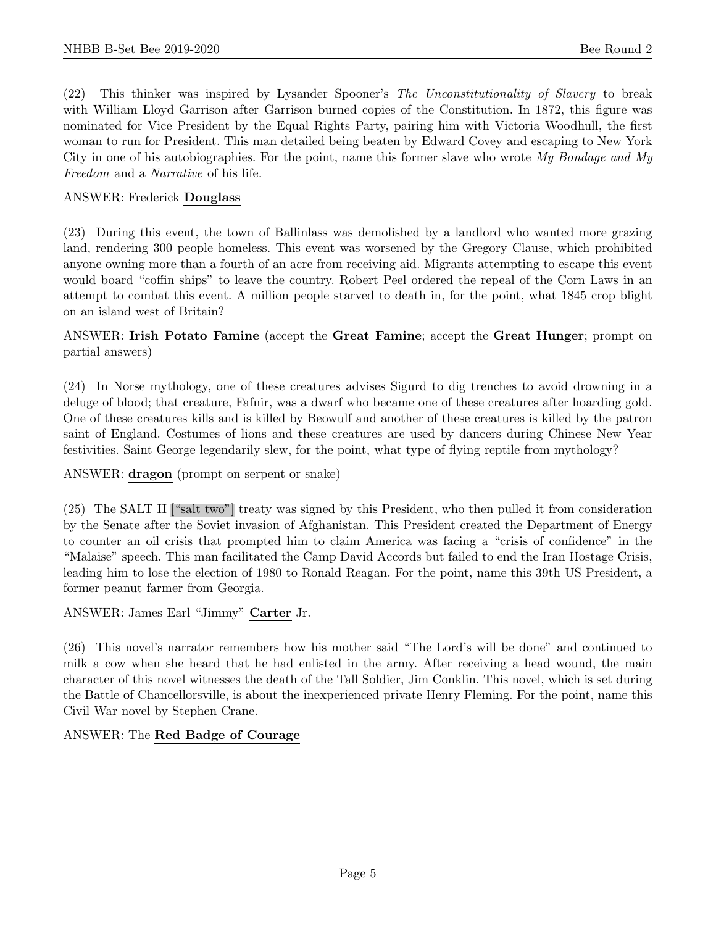(22) This thinker was inspired by Lysander Spooner's The Unconstitutionality of Slavery to break with William Lloyd Garrison after Garrison burned copies of the Constitution. In 1872, this figure was nominated for Vice President by the Equal Rights Party, pairing him with Victoria Woodhull, the first woman to run for President. This man detailed being beaten by Edward Covey and escaping to New York City in one of his autobiographies. For the point, name this former slave who wrote  $My$  Bondage and My Freedom and a Narrative of his life.

### ANSWER: Frederick Douglass

(23) During this event, the town of Ballinlass was demolished by a landlord who wanted more grazing land, rendering 300 people homeless. This event was worsened by the Gregory Clause, which prohibited anyone owning more than a fourth of an acre from receiving aid. Migrants attempting to escape this event would board "coffin ships" to leave the country. Robert Peel ordered the repeal of the Corn Laws in an attempt to combat this event. A million people starved to death in, for the point, what 1845 crop blight on an island west of Britain?

#### ANSWER: Irish Potato Famine (accept the Great Famine; accept the Great Hunger; prompt on partial answers)

(24) In Norse mythology, one of these creatures advises Sigurd to dig trenches to avoid drowning in a deluge of blood; that creature, Fafnir, was a dwarf who became one of these creatures after hoarding gold. One of these creatures kills and is killed by Beowulf and another of these creatures is killed by the patron saint of England. Costumes of lions and these creatures are used by dancers during Chinese New Year festivities. Saint George legendarily slew, for the point, what type of flying reptile from mythology?

ANSWER: dragon (prompt on serpent or snake)

(25) The SALT II ["salt two"] treaty was signed by this President, who then pulled it from consideration by the Senate after the Soviet invasion of Afghanistan. This President created the Department of Energy to counter an oil crisis that prompted him to claim America was facing a "crisis of confidence" in the "Malaise" speech. This man facilitated the Camp David Accords but failed to end the Iran Hostage Crisis, leading him to lose the election of 1980 to Ronald Reagan. For the point, name this 39th US President, a former peanut farmer from Georgia.

# ANSWER: James Earl "Jimmy" Carter Jr.

(26) This novel's narrator remembers how his mother said "The Lord's will be done" and continued to milk a cow when she heard that he had enlisted in the army. After receiving a head wound, the main character of this novel witnesses the death of the Tall Soldier, Jim Conklin. This novel, which is set during the Battle of Chancellorsville, is about the inexperienced private Henry Fleming. For the point, name this Civil War novel by Stephen Crane.

# ANSWER: The Red Badge of Courage